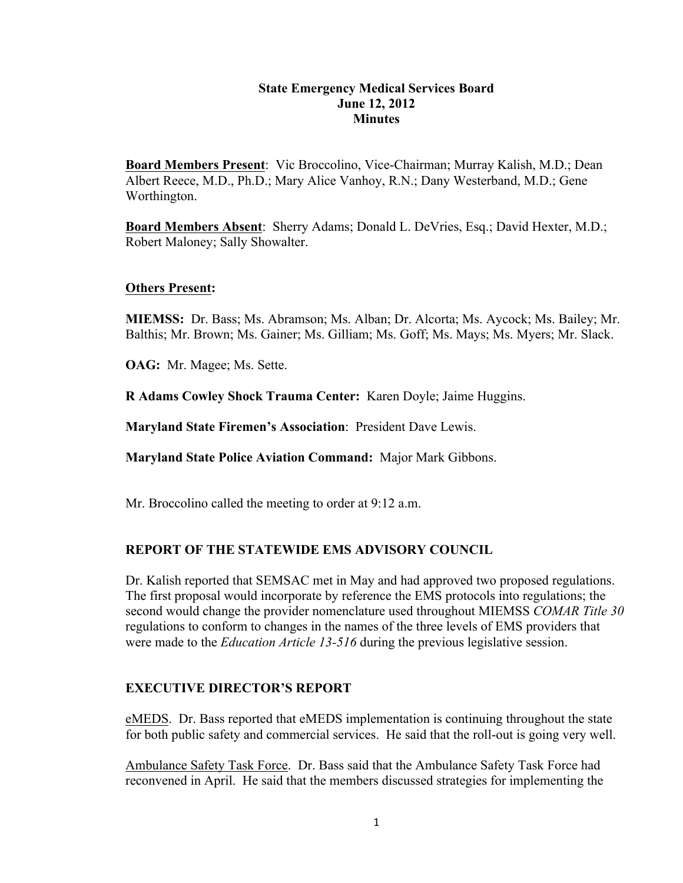## **State Emergency Medical Services Board June 12, 2012 Minutes**

**Board Members Present**: Vic Broccolino, Vice-Chairman; Murray Kalish, M.D.; Dean Albert Reece, M.D., Ph.D.; Mary Alice Vanhoy, R.N.; Dany Westerband, M.D.; Gene Worthington.

**Board Members Absent**: Sherry Adams; Donald L. DeVries, Esq.; David Hexter, M.D.; Robert Maloney; Sally Showalter.

## **Others Present:**

**MIEMSS:** Dr. Bass; Ms. Abramson; Ms. Alban; Dr. Alcorta; Ms. Aycock; Ms. Bailey; Mr. Balthis; Mr. Brown; Ms. Gainer; Ms. Gilliam; Ms. Goff; Ms. Mays; Ms. Myers; Mr. Slack.

**OAG:** Mr. Magee; Ms. Sette.

**R Adams Cowley Shock Trauma Center:** Karen Doyle; Jaime Huggins.

**Maryland State Firemen's Association**: President Dave Lewis.

**Maryland State Police Aviation Command:** Major Mark Gibbons.

Mr. Broccolino called the meeting to order at 9:12 a.m.

## **REPORT OF THE STATEWIDE EMS ADVISORY COUNCIL**

Dr. Kalish reported that SEMSAC met in May and had approved two proposed regulations. The first proposal would incorporate by reference the EMS protocols into regulations; the second would change the provider nomenclature used throughout MIEMSS *COMAR Title 30* regulations to conform to changes in the names of the three levels of EMS providers that were made to the *Education Article 13-516* during the previous legislative session.

## **EXECUTIVE DIRECTOR'S REPORT**

eMEDS. Dr. Bass reported that eMEDS implementation is continuing throughout the state for both public safety and commercial services. He said that the roll-out is going very well.

Ambulance Safety Task Force. Dr. Bass said that the Ambulance Safety Task Force had reconvened in April. He said that the members discussed strategies for implementing the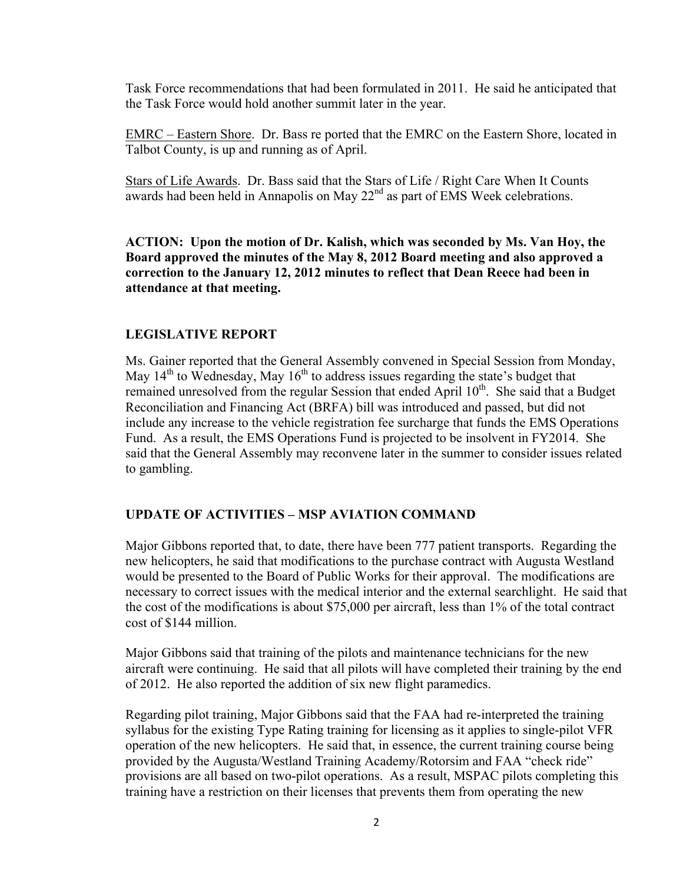Task Force recommendations that had been formulated in 2011. He said he anticipated that the Task Force would hold another summit later in the year.

EMRC – Eastern Shore. Dr. Bass re ported that the EMRC on the Eastern Shore, located in Talbot County, is up and running as of April.

Stars of Life Awards. Dr. Bass said that the Stars of Life / Right Care When It Counts awards had been held in Annapolis on May  $22<sup>nd</sup>$  as part of EMS Week celebrations.

**ACTION: Upon the motion of Dr. Kalish, which was seconded by Ms. Van Hoy, the Board approved the minutes of the May 8, 2012 Board meeting and also approved a correction to the January 12, 2012 minutes to reflect that Dean Reece had been in attendance at that meeting.**

## **LEGISLATIVE REPORT**

Ms. Gainer reported that the General Assembly convened in Special Session from Monday, May  $14<sup>th</sup>$  to Wednesday, May  $16<sup>th</sup>$  to address issues regarding the state's budget that remained unresolved from the regular Session that ended April 10<sup>th</sup>. She said that a Budget Reconciliation and Financing Act (BRFA) bill was introduced and passed, but did not include any increase to the vehicle registration fee surcharge that funds the EMS Operations Fund. As a result, the EMS Operations Fund is projected to be insolvent in FY2014. She said that the General Assembly may reconvene later in the summer to consider issues related to gambling.

# **UPDATE OF ACTIVITIES – MSP AVIATION COMMAND**

Major Gibbons reported that, to date, there have been 777 patient transports. Regarding the new helicopters, he said that modifications to the purchase contract with Augusta Westland would be presented to the Board of Public Works for their approval. The modifications are necessary to correct issues with the medical interior and the external searchlight. He said that the cost of the modifications is about \$75,000 per aircraft, less than 1% of the total contract cost of \$144 million.

Major Gibbons said that training of the pilots and maintenance technicians for the new aircraft were continuing. He said that all pilots will have completed their training by the end of 2012. He also reported the addition of six new flight paramedics.

Regarding pilot training, Major Gibbons said that the FAA had re-interpreted the training syllabus for the existing Type Rating training for licensing as it applies to single-pilot VFR operation of the new helicopters. He said that, in essence, the current training course being provided by the Augusta/Westland Training Academy/Rotorsim and FAA "check ride" provisions are all based on two-pilot operations. As a result, MSPAC pilots completing this training have a restriction on their licenses that prevents them from operating the new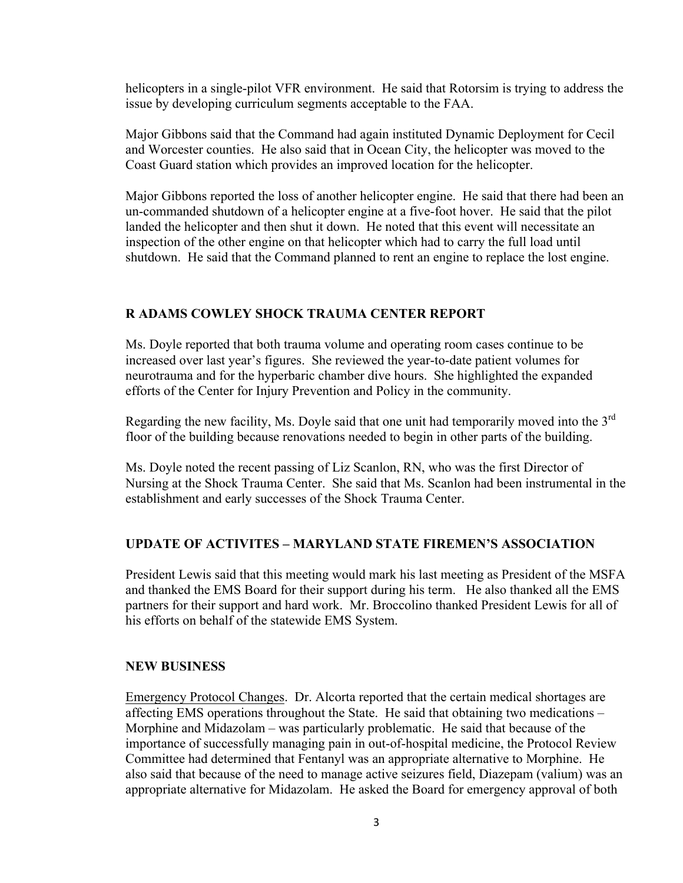helicopters in a single-pilot VFR environment. He said that Rotorsim is trying to address the issue by developing curriculum segments acceptable to the FAA.

Major Gibbons said that the Command had again instituted Dynamic Deployment for Cecil and Worcester counties. He also said that in Ocean City, the helicopter was moved to the Coast Guard station which provides an improved location for the helicopter.

Major Gibbons reported the loss of another helicopter engine. He said that there had been an un-commanded shutdown of a helicopter engine at a five-foot hover. He said that the pilot landed the helicopter and then shut it down. He noted that this event will necessitate an inspection of the other engine on that helicopter which had to carry the full load until shutdown. He said that the Command planned to rent an engine to replace the lost engine.

## **R ADAMS COWLEY SHOCK TRAUMA CENTER REPORT**

Ms. Doyle reported that both trauma volume and operating room cases continue to be increased over last year's figures. She reviewed the year-to-date patient volumes for neurotrauma and for the hyperbaric chamber dive hours. She highlighted the expanded efforts of the Center for Injury Prevention and Policy in the community.

Regarding the new facility, Ms. Doyle said that one unit had temporarily moved into the  $3<sup>rd</sup>$ floor of the building because renovations needed to begin in other parts of the building.

Ms. Doyle noted the recent passing of Liz Scanlon, RN, who was the first Director of Nursing at the Shock Trauma Center. She said that Ms. Scanlon had been instrumental in the establishment and early successes of the Shock Trauma Center.

#### **UPDATE OF ACTIVITES – MARYLAND STATE FIREMEN'S ASSOCIATION**

President Lewis said that this meeting would mark his last meeting as President of the MSFA and thanked the EMS Board for their support during his term. He also thanked all the EMS partners for their support and hard work. Mr. Broccolino thanked President Lewis for all of his efforts on behalf of the statewide EMS System.

#### **NEW BUSINESS**

Emergency Protocol Changes. Dr. Alcorta reported that the certain medical shortages are affecting EMS operations throughout the State. He said that obtaining two medications – Morphine and Midazolam – was particularly problematic. He said that because of the importance of successfully managing pain in out-of-hospital medicine, the Protocol Review Committee had determined that Fentanyl was an appropriate alternative to Morphine. He also said that because of the need to manage active seizures field, Diazepam (valium) was an appropriate alternative for Midazolam. He asked the Board for emergency approval of both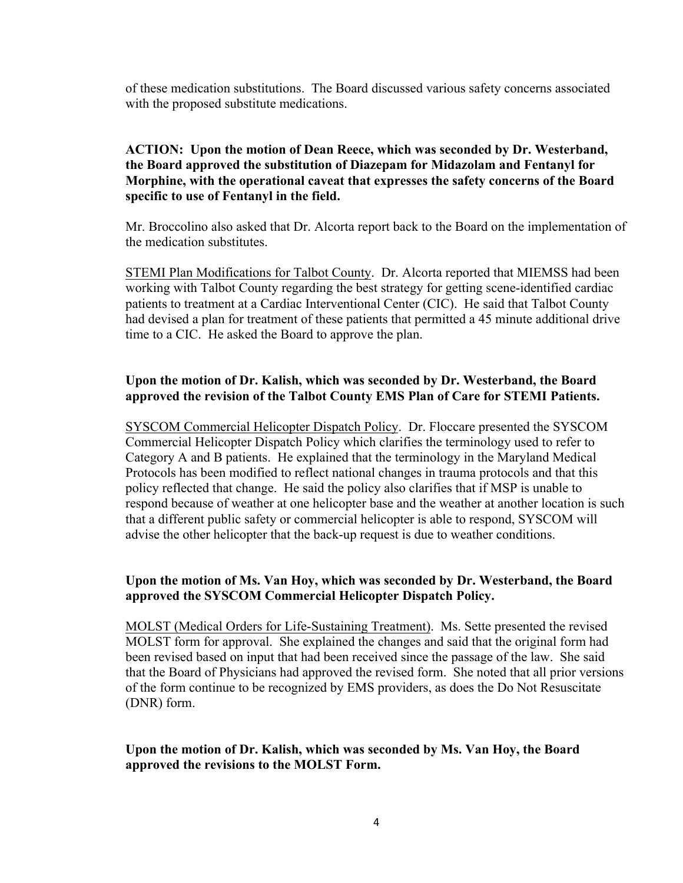of these medication substitutions. The Board discussed various safety concerns associated with the proposed substitute medications.

# **ACTION: Upon the motion of Dean Reece, which was seconded by Dr. Westerband, the Board approved the substitution of Diazepam for Midazolam and Fentanyl for Morphine, with the operational caveat that expresses the safety concerns of the Board specific to use of Fentanyl in the field.**

Mr. Broccolino also asked that Dr. Alcorta report back to the Board on the implementation of the medication substitutes.

STEMI Plan Modifications for Talbot County. Dr. Alcorta reported that MIEMSS had been working with Talbot County regarding the best strategy for getting scene-identified cardiac patients to treatment at a Cardiac Interventional Center (CIC). He said that Talbot County had devised a plan for treatment of these patients that permitted a 45 minute additional drive time to a CIC. He asked the Board to approve the plan.

# **Upon the motion of Dr. Kalish, which was seconded by Dr. Westerband, the Board approved the revision of the Talbot County EMS Plan of Care for STEMI Patients.**

SYSCOM Commercial Helicopter Dispatch Policy. Dr. Floccare presented the SYSCOM Commercial Helicopter Dispatch Policy which clarifies the terminology used to refer to Category A and B patients. He explained that the terminology in the Maryland Medical Protocols has been modified to reflect national changes in trauma protocols and that this policy reflected that change. He said the policy also clarifies that if MSP is unable to respond because of weather at one helicopter base and the weather at another location is such that a different public safety or commercial helicopter is able to respond, SYSCOM will advise the other helicopter that the back-up request is due to weather conditions.

## **Upon the motion of Ms. Van Hoy, which was seconded by Dr. Westerband, the Board approved the SYSCOM Commercial Helicopter Dispatch Policy.**

MOLST (Medical Orders for Life-Sustaining Treatment). Ms. Sette presented the revised MOLST form for approval. She explained the changes and said that the original form had been revised based on input that had been received since the passage of the law. She said that the Board of Physicians had approved the revised form. She noted that all prior versions of the form continue to be recognized by EMS providers, as does the Do Not Resuscitate (DNR) form.

# **Upon the motion of Dr. Kalish, which was seconded by Ms. Van Hoy, the Board approved the revisions to the MOLST Form.**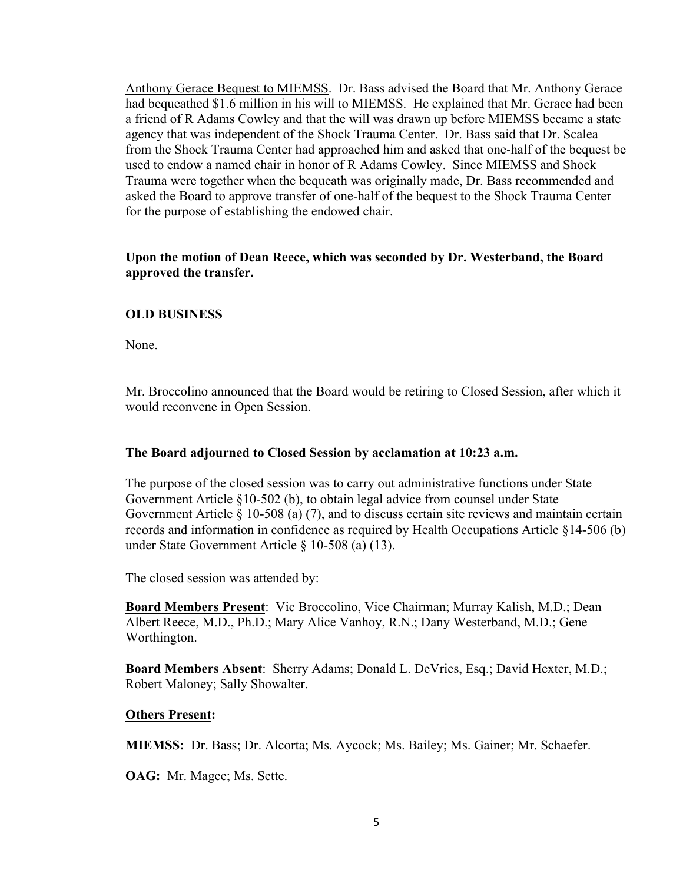Anthony Gerace Bequest to MIEMSS. Dr. Bass advised the Board that Mr. Anthony Gerace had bequeathed \$1.6 million in his will to MIEMSS. He explained that Mr. Gerace had been a friend of R Adams Cowley and that the will was drawn up before MIEMSS became a state agency that was independent of the Shock Trauma Center. Dr. Bass said that Dr. Scalea from the Shock Trauma Center had approached him and asked that one-half of the bequest be used to endow a named chair in honor of R Adams Cowley. Since MIEMSS and Shock Trauma were together when the bequeath was originally made, Dr. Bass recommended and asked the Board to approve transfer of one-half of the bequest to the Shock Trauma Center for the purpose of establishing the endowed chair.

**Upon the motion of Dean Reece, which was seconded by Dr. Westerband, the Board approved the transfer.**

## **OLD BUSINESS**

None.

Mr. Broccolino announced that the Board would be retiring to Closed Session, after which it would reconvene in Open Session.

## **The Board adjourned to Closed Session by acclamation at 10:23 a.m.**

The purpose of the closed session was to carry out administrative functions under State Government Article §10-502 (b), to obtain legal advice from counsel under State Government Article § 10-508 (a) (7), and to discuss certain site reviews and maintain certain records and information in confidence as required by Health Occupations Article §14-506 (b) under State Government Article § 10-508 (a) (13).

The closed session was attended by:

**Board Members Present**: Vic Broccolino, Vice Chairman; Murray Kalish, M.D.; Dean Albert Reece, M.D., Ph.D.; Mary Alice Vanhoy, R.N.; Dany Westerband, M.D.; Gene Worthington.

**Board Members Absent**: Sherry Adams; Donald L. DeVries, Esq.; David Hexter, M.D.; Robert Maloney; Sally Showalter.

## **Others Present:**

**MIEMSS:** Dr. Bass; Dr. Alcorta; Ms. Aycock; Ms. Bailey; Ms. Gainer; Mr. Schaefer.

**OAG:** Mr. Magee; Ms. Sette.